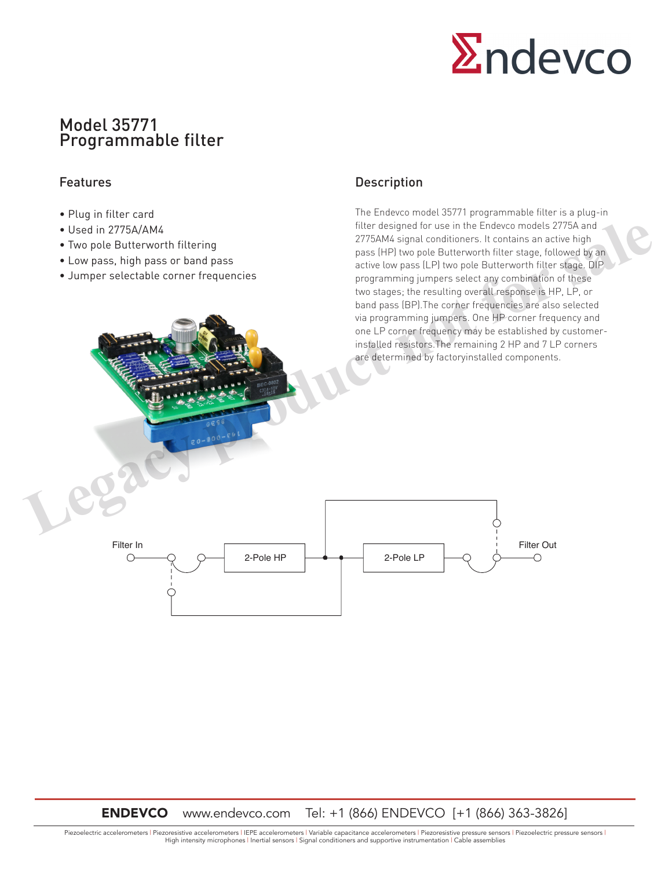

# Model 35771 Programmable filter

### Features

- Plug in filter card
- Used in 2775A/AM4
- Two pole Butterworth filtering
- Low pass, high pass or band pass
- Jumper selectable corner frequencies

## Description

The Endevco model 35771 programmable filter is a plug-in filter designed for use in the Endevco models 2775A and 2775AM4 signal conditioners. It contains an active high pass (HP) two pole Butterworth filter stage, followed by an active low pass (LP) two pole Butterworth filter stage. DIP programming jumpers select any combination of these two stages; the resulting overall response is HP, LP, or band pass (BP).The corner frequencies are also selected via programming jumpers. One HP corner frequency and one LP corner frequency may be established by customerinstalled resistors.The remaining 2 HP and 7 LP corners are determined by factoryinstalled components. • Used in 2775A/AM4<br>
• Two pele Butterworth filtering<br>
• Low pass, high pass or band pass<br>
• Low pass, high pass or band pass<br>
• Jumper selectable corner frequencies<br>
• Jumper selectable corner frequencies<br>
• Jumper sele



ENDEVCO www.endevco.com Tel: +1 (866) ENDEVCO [+1 (866) 363-3826]

Piezoelectric accelerometers | Piezoresistive accelerometers | IEPE accelerometers | Variable capacitance accelerometers | Piezoresistive pressure sensors | Piezoelectric pressure sensors | High intensity microphones | Inertial sensors | Signal conditioners and supportive instrumentation | Cable assemblies